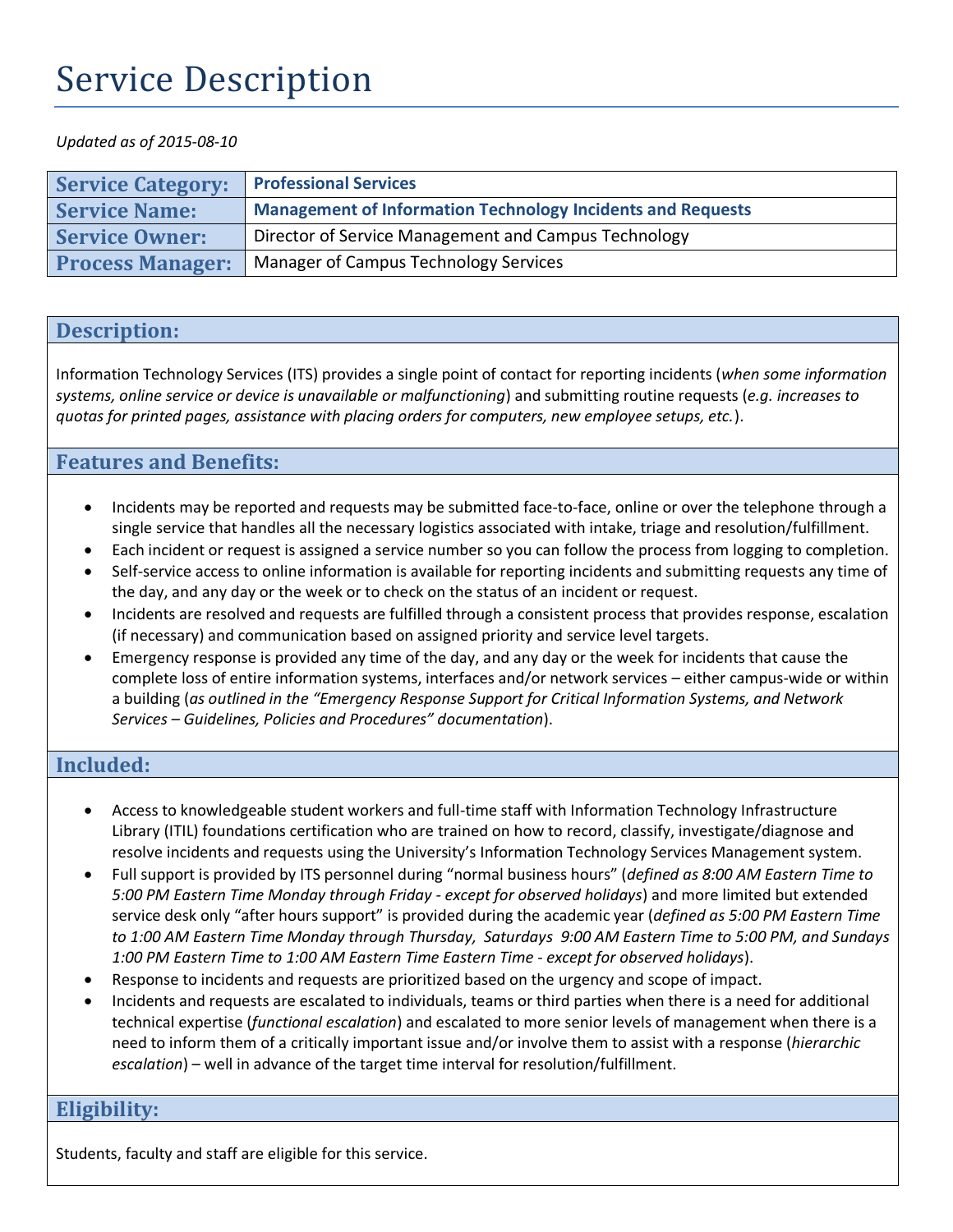# Service Description

#### *Updated as of 2015-08-10*

| <b>Service Category:</b> | <b>Professional Services</b>                                       |
|--------------------------|--------------------------------------------------------------------|
| <b>Service Name:</b>     | <b>Management of Information Technology Incidents and Requests</b> |
| <b>Service Owner:</b>    | Director of Service Management and Campus Technology               |
| <b>Process Manager:</b>  | Manager of Campus Technology Services                              |

## **Description:**

 Information Technology Services (ITS) provides a single point of contact for reporting incidents (*when some information systems, online service or device is unavailable or malfunctioning*) and submitting routine requests (*e.g. increases to quotas for printed pages, assistance with placing orders for computers, new employee setups, etc.*).

## **Features and Benefits:**

- single service that handles all the necessary logistics associated with intake, triage and resolution/fulfillment. Incidents may be reported and requests may be submitted face-to-face, online or over the telephone through a
- Each incident or request is assigned a service number so you can follow the process from logging to completion.
- Self-service access to online information is available for reporting incidents and submitting requests any time of the day, and any day or the week or to check on the status of an incident or request.
- Incidents are resolved and requests are fulfilled through a consistent process that provides response, escalation (if necessary) and communication based on assigned priority and service level targets.
- Emergency response is provided any time of the day, and any day or the week for incidents that cause the complete loss of entire information systems, interfaces and/or network services – either campus-wide or within  a building (*as outlined in the "Emergency Response Support for Critical Information Systems, and Network Services – Guidelines, Policies and Procedures" documentation*).

## **Included:**

- Access to knowledgeable student workers and full-time staff with Information Technology Infrastructure Library (ITIL) foundations certification who are trained on how to record, classify, investigate/diagnose and resolve incidents and requests using the University's Information Technology Services Management system.
- Full support is provided by ITS personnel during "normal business hours" (*defined as 8:00 AM Eastern Time to 5:00 PM Eastern Time Monday through Friday - except for observed holidays*) and more limited but extended service desk only "after hours support" is provided during the academic year (*defined as 5:00 PM Eastern Time to 1:00 AM Eastern Time Monday through Thursday, Saturdays 9:00 AM Eastern Time to 5:00 PM, and Sundays 1:00 PM Eastern Time to 1:00 AM Eastern Time Eastern Time - except for observed holidays*).
- Response to incidents and requests are prioritized based on the urgency and scope of impact.
- Incidents and requests are escalated to individuals, teams or third parties when there is a need for additional technical expertise (*functional escalation*) and escalated to more senior levels of management when there is a need to inform them of a critically important issue and/or involve them to assist with a response (*hierarchic escalation*) – well in advance of the target time interval for resolution/fulfillment.

## **Eligibility:**

Students, faculty and staff are eligible for this service.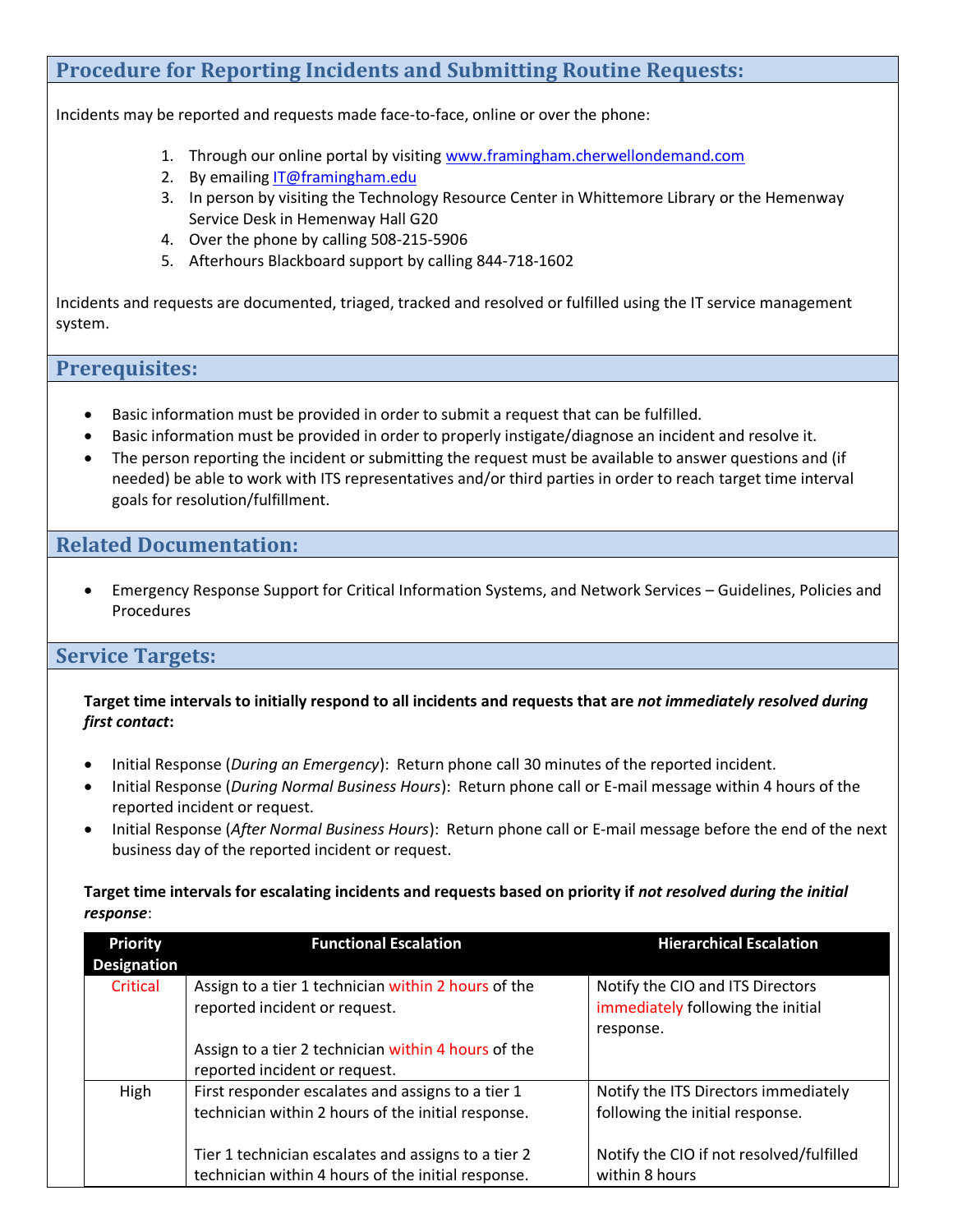## **Procedure for Reporting Incidents and Submitting Routine Requests:**

Incidents may be reported and requests made face-to-face, online or over the phone:

- 1. Through our online portal by visiting www.framingham.cherwellondemand.com
- 2. By emailing **IT@framingham.edu**
- 3. In person by visiting the Technology Resource Center in Whittemore Library or the Hemenway Service Desk in Hemenway Hall G20
- 4. Over the phone by calling 508-215-5906
- 5. Afterhours Blackboard support by calling 844-718-1602

 Incidents and requests are documented, triaged, tracked and resolved or fulfilled using the IT service management system.

## **Prerequisites:**

- Basic information must be provided in order to submit a request that can be fulfilled.
- Basic information must be provided in order to properly instigate/diagnose an incident and resolve it.
- The person reporting the incident or submitting the request must be available to answer questions and (if needed) be able to work with ITS representatives and/or third parties in order to reach target time interval goals for resolution/fulfillment.

## **Related Documentation:**

 Emergency Response Support for Critical Information Systems, and Network Services – Guidelines, Policies and Procedures

## **Service Targets:**

 **Target time intervals to initially respond to all incidents and requests that are** *not immediately resolved during first contact***:** 

- Initial Response (*During an Emergency*): Return phone call 30 minutes of the reported incident.
- Initial Response (*During Normal Business Hours*): Return phone call or E-mail message within 4 hours of the reported incident or request.
- Initial Response (*After Normal Business Hours*): Return phone call or E-mail message before the end of the next business day of the reported incident or request.

#### **Target time intervals for escalating incidents and requests based on priority if** *not resolved during the initial response*:

| <b>Priority</b><br><b>Designation</b> | <b>Functional Escalation</b>                                                                              | <b>Hierarchical Escalation</b>                                                     |
|---------------------------------------|-----------------------------------------------------------------------------------------------------------|------------------------------------------------------------------------------------|
| Critical                              | Assign to a tier 1 technician within 2 hours of the<br>reported incident or request.                      | Notify the CIO and ITS Directors<br>immediately following the initial<br>response. |
|                                       | Assign to a tier 2 technician within 4 hours of the<br>reported incident or request.                      |                                                                                    |
| High                                  | First responder escalates and assigns to a tier 1<br>technician within 2 hours of the initial response.   | Notify the ITS Directors immediately<br>following the initial response.            |
|                                       | Tier 1 technician escalates and assigns to a tier 2<br>technician within 4 hours of the initial response. | Notify the CIO if not resolved/fulfilled<br>within 8 hours                         |